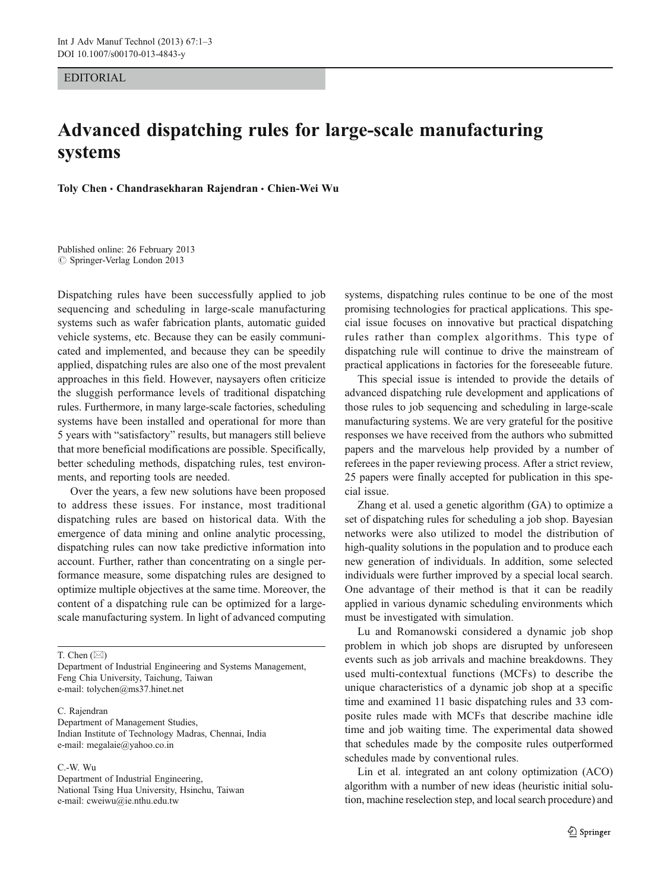EDITORIAL

## Advanced dispatching rules for large-scale manufacturing systems

Toly Chen · Chandrasekharan Rajendran · Chien-Wei Wu

Published online: 26 February 2013  $\oslash$  Springer-Verlag London 2013

Dispatching rules have been successfully applied to job sequencing and scheduling in large-scale manufacturing systems such as wafer fabrication plants, automatic guided vehicle systems, etc. Because they can be easily communicated and implemented, and because they can be speedily applied, dispatching rules are also one of the most prevalent approaches in this field. However, naysayers often criticize the sluggish performance levels of traditional dispatching rules. Furthermore, in many large-scale factories, scheduling systems have been installed and operational for more than 5 years with "satisfactory" results, but managers still believe that more beneficial modifications are possible. Specifically, better scheduling methods, dispatching rules, test environments, and reporting tools are needed.

Over the years, a few new solutions have been proposed to address these issues. For instance, most traditional dispatching rules are based on historical data. With the emergence of data mining and online analytic processing, dispatching rules can now take predictive information into account. Further, rather than concentrating on a single performance measure, some dispatching rules are designed to optimize multiple objectives at the same time. Moreover, the content of a dispatching rule can be optimized for a largescale manufacturing system. In light of advanced computing

T. Chen  $(\boxtimes)$ 

C. Rajendran Department of Management Studies, Indian Institute of Technology Madras, Chennai, India e-mail: megalaie@yahoo.co.in

C.-W. Wu

Department of Industrial Engineering, National Tsing Hua University, Hsinchu, Taiwan e-mail: cweiwu@ie.nthu.edu.tw

systems, dispatching rules continue to be one of the most promising technologies for practical applications. This special issue focuses on innovative but practical dispatching rules rather than complex algorithms. This type of dispatching rule will continue to drive the mainstream of practical applications in factories for the foreseeable future.

This special issue is intended to provide the details of advanced dispatching rule development and applications of those rules to job sequencing and scheduling in large-scale manufacturing systems. We are very grateful for the positive responses we have received from the authors who submitted papers and the marvelous help provided by a number of referees in the paper reviewing process. After a strict review, 25 papers were finally accepted for publication in this special issue.

Zhang et al. used a genetic algorithm (GA) to optimize a set of dispatching rules for scheduling a job shop. Bayesian networks were also utilized to model the distribution of high-quality solutions in the population and to produce each new generation of individuals. In addition, some selected individuals were further improved by a special local search. One advantage of their method is that it can be readily applied in various dynamic scheduling environments which must be investigated with simulation.

Lu and Romanowski considered a dynamic job shop problem in which job shops are disrupted by unforeseen events such as job arrivals and machine breakdowns. They used multi-contextual functions (MCFs) to describe the unique characteristics of a dynamic job shop at a specific time and examined 11 basic dispatching rules and 33 composite rules made with MCFs that describe machine idle time and job waiting time. The experimental data showed that schedules made by the composite rules outperformed schedules made by conventional rules.

Lin et al. integrated an ant colony optimization (ACO) algorithm with a number of new ideas (heuristic initial solution, machine reselection step, and local search procedure) and

Department of Industrial Engineering and Systems Management, Feng Chia University, Taichung, Taiwan e-mail: tolychen@ms37.hinet.net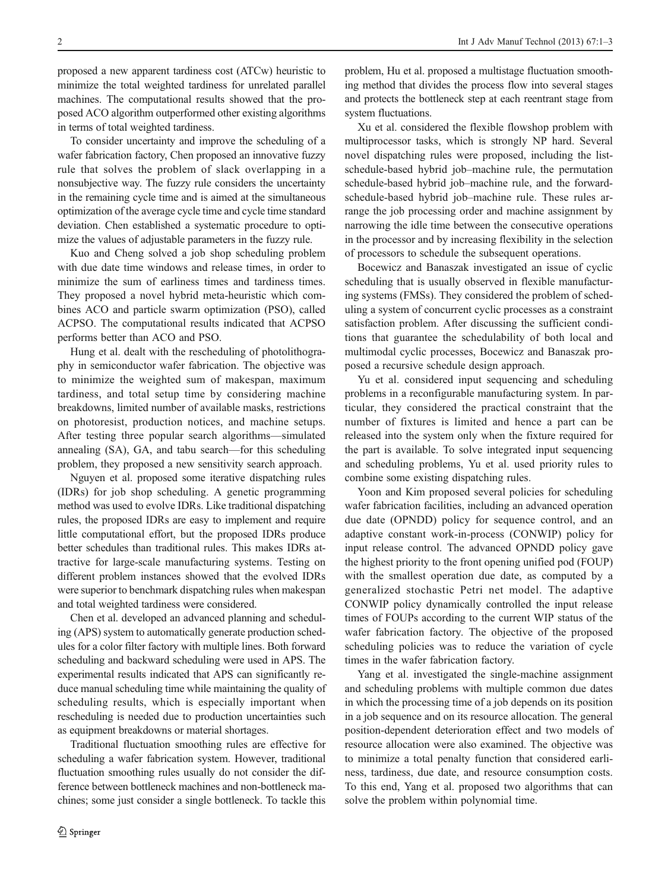proposed a new apparent tardiness cost (ATCw) heuristic to minimize the total weighted tardiness for unrelated parallel machines. The computational results showed that the proposed ACO algorithm outperformed other existing algorithms in terms of total weighted tardiness.

To consider uncertainty and improve the scheduling of a wafer fabrication factory, Chen proposed an innovative fuzzy rule that solves the problem of slack overlapping in a nonsubjective way. The fuzzy rule considers the uncertainty in the remaining cycle time and is aimed at the simultaneous optimization of the average cycle time and cycle time standard deviation. Chen established a systematic procedure to optimize the values of adjustable parameters in the fuzzy rule.

Kuo and Cheng solved a job shop scheduling problem with due date time windows and release times, in order to minimize the sum of earliness times and tardiness times. They proposed a novel hybrid meta-heuristic which combines ACO and particle swarm optimization (PSO), called ACPSO. The computational results indicated that ACPSO performs better than ACO and PSO.

Hung et al. dealt with the rescheduling of photolithography in semiconductor wafer fabrication. The objective was to minimize the weighted sum of makespan, maximum tardiness, and total setup time by considering machine breakdowns, limited number of available masks, restrictions on photoresist, production notices, and machine setups. After testing three popular search algorithms—simulated annealing (SA), GA, and tabu search—for this scheduling problem, they proposed a new sensitivity search approach.

Nguyen et al. proposed some iterative dispatching rules (IDRs) for job shop scheduling. A genetic programming method was used to evolve IDRs. Like traditional dispatching rules, the proposed IDRs are easy to implement and require little computational effort, but the proposed IDRs produce better schedules than traditional rules. This makes IDRs attractive for large-scale manufacturing systems. Testing on different problem instances showed that the evolved IDRs were superior to benchmark dispatching rules when makespan and total weighted tardiness were considered.

Chen et al. developed an advanced planning and scheduling (APS) system to automatically generate production schedules for a color filter factory with multiple lines. Both forward scheduling and backward scheduling were used in APS. The experimental results indicated that APS can significantly reduce manual scheduling time while maintaining the quality of scheduling results, which is especially important when rescheduling is needed due to production uncertainties such as equipment breakdowns or material shortages.

Traditional fluctuation smoothing rules are effective for scheduling a wafer fabrication system. However, traditional fluctuation smoothing rules usually do not consider the difference between bottleneck machines and non-bottleneck machines; some just consider a single bottleneck. To tackle this

problem, Hu et al. proposed a multistage fluctuation smoothing method that divides the process flow into several stages and protects the bottleneck step at each reentrant stage from system fluctuations.

Xu et al. considered the flexible flowshop problem with multiprocessor tasks, which is strongly NP hard. Several novel dispatching rules were proposed, including the listschedule-based hybrid job–machine rule, the permutation schedule-based hybrid job–machine rule, and the forwardschedule-based hybrid job–machine rule. These rules arrange the job processing order and machine assignment by narrowing the idle time between the consecutive operations in the processor and by increasing flexibility in the selection of processors to schedule the subsequent operations.

Bocewicz and Banaszak investigated an issue of cyclic scheduling that is usually observed in flexible manufacturing systems (FMSs). They considered the problem of scheduling a system of concurrent cyclic processes as a constraint satisfaction problem. After discussing the sufficient conditions that guarantee the schedulability of both local and multimodal cyclic processes, Bocewicz and Banaszak proposed a recursive schedule design approach.

Yu et al. considered input sequencing and scheduling problems in a reconfigurable manufacturing system. In particular, they considered the practical constraint that the number of fixtures is limited and hence a part can be released into the system only when the fixture required for the part is available. To solve integrated input sequencing and scheduling problems, Yu et al. used priority rules to combine some existing dispatching rules.

Yoon and Kim proposed several policies for scheduling wafer fabrication facilities, including an advanced operation due date (OPNDD) policy for sequence control, and an adaptive constant work-in-process (CONWIP) policy for input release control. The advanced OPNDD policy gave the highest priority to the front opening unified pod (FOUP) with the smallest operation due date, as computed by a generalized stochastic Petri net model. The adaptive CONWIP policy dynamically controlled the input release times of FOUPs according to the current WIP status of the wafer fabrication factory. The objective of the proposed scheduling policies was to reduce the variation of cycle times in the wafer fabrication factory.

Yang et al. investigated the single-machine assignment and scheduling problems with multiple common due dates in which the processing time of a job depends on its position in a job sequence and on its resource allocation. The general position-dependent deterioration effect and two models of resource allocation were also examined. The objective was to minimize a total penalty function that considered earliness, tardiness, due date, and resource consumption costs. To this end, Yang et al. proposed two algorithms that can solve the problem within polynomial time.